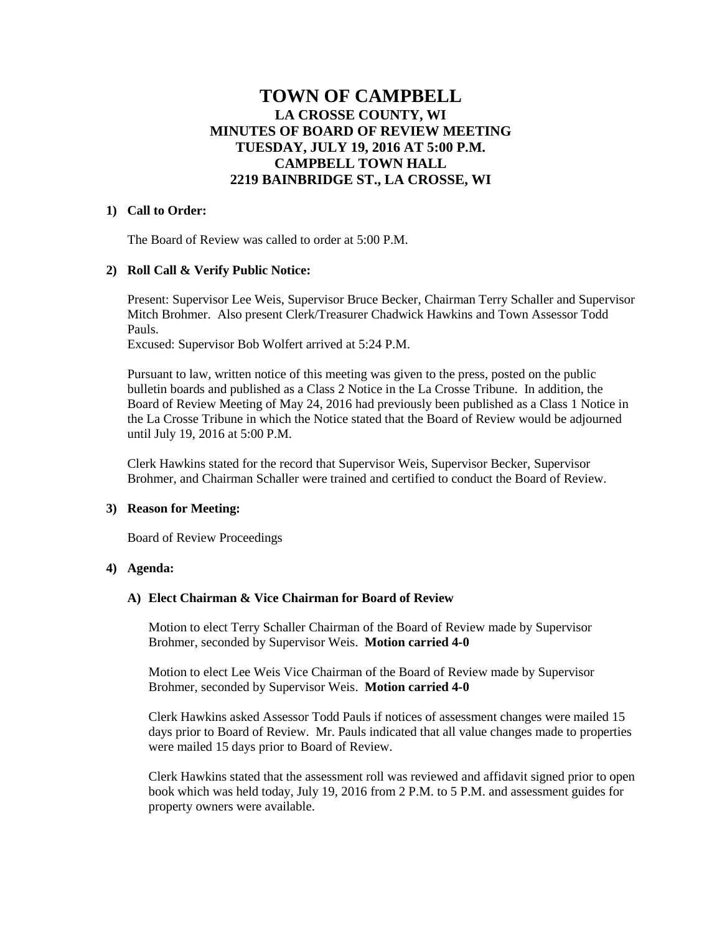# **TOWN OF CAMPBELL LA CROSSE COUNTY, WI MINUTES OF BOARD OF REVIEW MEETING TUESDAY, JULY 19, 2016 AT 5:00 P.M. CAMPBELL TOWN HALL 2219 BAINBRIDGE ST., LA CROSSE, WI**

#### **1) Call to Order:**

The Board of Review was called to order at 5:00 P.M.

### **2) Roll Call & Verify Public Notice:**

Present: Supervisor Lee Weis, Supervisor Bruce Becker, Chairman Terry Schaller and Supervisor Mitch Brohmer. Also present Clerk/Treasurer Chadwick Hawkins and Town Assessor Todd Pauls.

Excused: Supervisor Bob Wolfert arrived at 5:24 P.M.

Pursuant to law, written notice of this meeting was given to the press, posted on the public bulletin boards and published as a Class 2 Notice in the La Crosse Tribune. In addition, the Board of Review Meeting of May 24, 2016 had previously been published as a Class 1 Notice in the La Crosse Tribune in which the Notice stated that the Board of Review would be adjourned until July 19, 2016 at 5:00 P.M.

Clerk Hawkins stated for the record that Supervisor Weis, Supervisor Becker, Supervisor Brohmer, and Chairman Schaller were trained and certified to conduct the Board of Review.

#### **3) Reason for Meeting:**

Board of Review Proceedings

#### **4) Agenda:**

# **A) Elect Chairman & Vice Chairman for Board of Review**

Motion to elect Terry Schaller Chairman of the Board of Review made by Supervisor Brohmer, seconded by Supervisor Weis. **Motion carried 4-0**

Motion to elect Lee Weis Vice Chairman of the Board of Review made by Supervisor Brohmer, seconded by Supervisor Weis. **Motion carried 4-0**

Clerk Hawkins asked Assessor Todd Pauls if notices of assessment changes were mailed 15 days prior to Board of Review. Mr. Pauls indicated that all value changes made to properties were mailed 15 days prior to Board of Review.

Clerk Hawkins stated that the assessment roll was reviewed and affidavit signed prior to open book which was held today, July 19, 2016 from 2 P.M. to 5 P.M. and assessment guides for property owners were available.